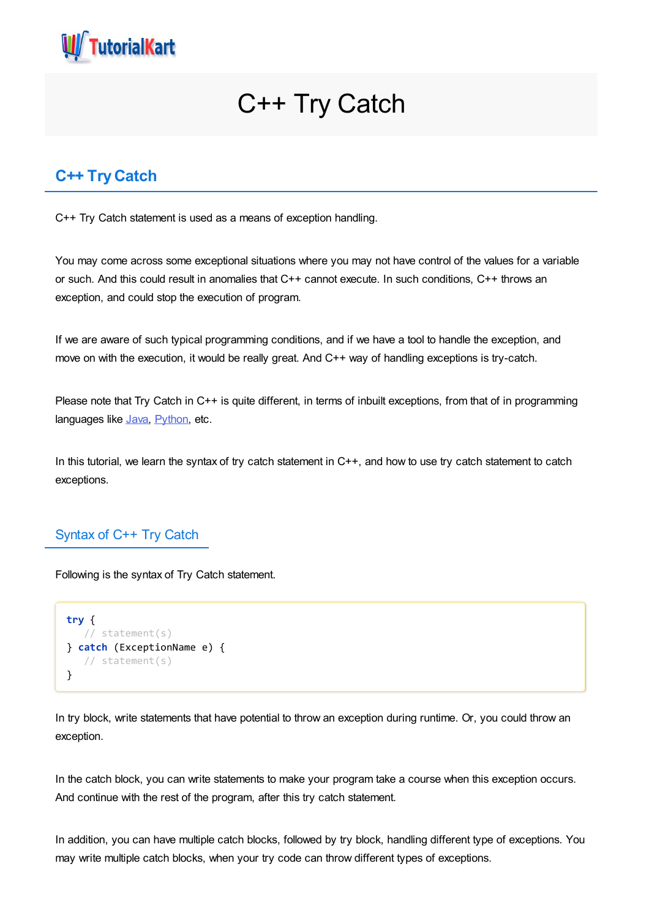

# C++ Try Catch

# **C++ TryCatch**

C++ Try Catch statement is used as a means of exception handling.

You may come across some exceptional situations where you may not have control of the values for a variable or such. And this could result in anomalies that C++ cannot execute. In such conditions, C++ throws an exception, and could stop the execution of program.

If we are aware of such typical programming conditions, and if we have a tool to handle the exception, and move on with the execution, it would be really great. And C++ way of handling exceptions is try-catch.

Please note that Try Catch in C++ is quite different, in terms of inbuilt exceptions, from that of in programming languages like [Java,](https://www.tutorialkart.com/java/) [Python](https://www.tutorialkart.com/python/), etc.

In this tutorial, we learn the syntax of try catch statement in C++, and how to use try catch statement to catch exceptions.

## Syntax of C++ Try Catch

Following is the syntax of Try Catch statement.

```
try {
  // statement(s)
} catch (ExceptionName e) {
  // statement(s)
}
```
In try block, write statements that have potential to throw an exception during runtime. Or, you could throw an exception.

In the catch block, you can write statements to make your program take a course when this exception occurs. And continue with the rest of the program, after this try catch statement.

In addition, you can have multiple catch blocks, followed by try block, handling different type of exceptions. You may write multiple catch blocks, when your try code can throw different types of exceptions.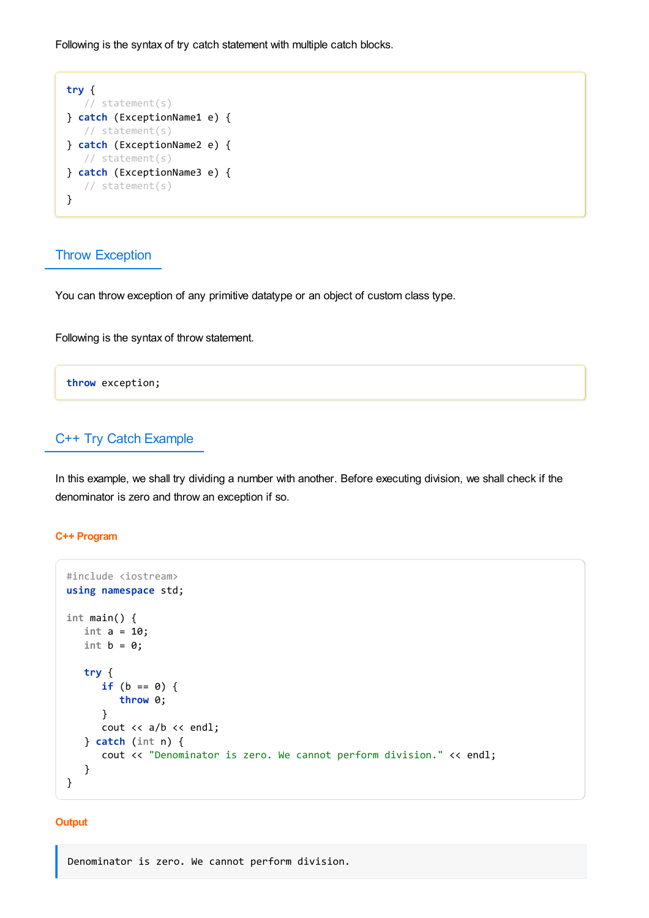Following is the syntax of try catch statement with multiple catch blocks.



## Throw Exception

You can throw exception of any primitive datatype or an object of custom class type.

Following is the syntax of throw statement.

**throw** exception;

# C++ Try Catch Example

In this example, we shall try dividing a number with another. Before executing division, we shall check if the denominator is zero and throw an exception if so.

#### **C++ Program**

```
#include <iostream>
using namespace std;
int main() {
   int a = 10;
   int b = 0;
   try {
      if (b == 0) {
         throw 0;
      }
      cout << a/b << endl;
   } catch (int n) {
      cout << "Denominator is zero. We cannot perform division." << endl;
   }
}
```
#### **Output**

Denominator is zero. We cannot perform division.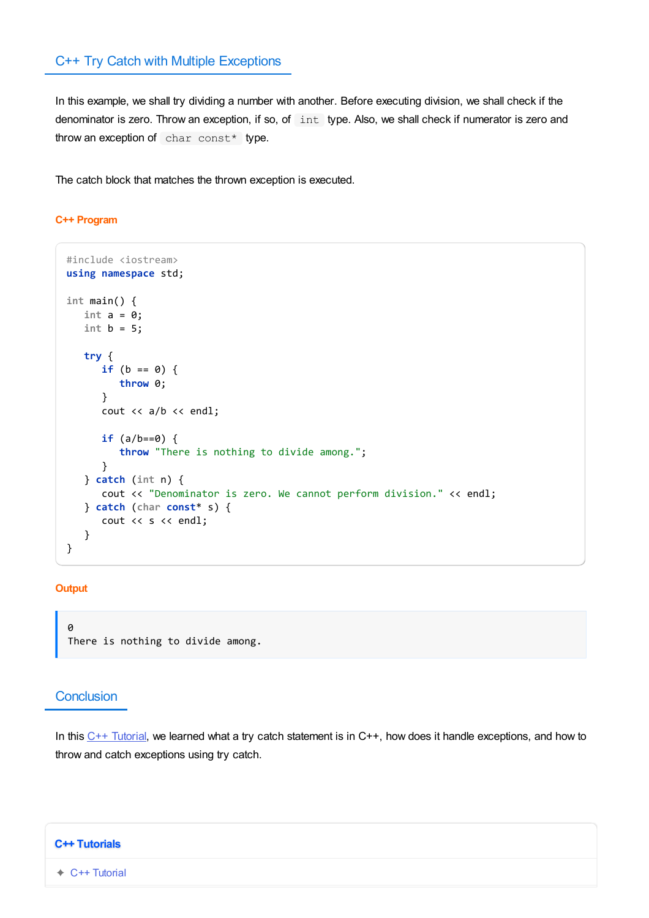## C++ Try Catch with Multiple Exceptions

In this example, we shall try dividing a number with another. Before executing division, we shall check if the denominator is zero. Throw an exception, if so, of int type. Also, we shall check if numerator is zero and throw an exception of char const\* type.

The catch block that matches the thrown exception is executed.

#### **C++ Program**

```
#include <iostream>
using namespace std;
int main() {
  int a = 0;
   int b = 5;
   try {
      if (b == 0) {
         throw 0;
      }
      cout << a/b << endl;
      if (a/b==0) {
         throw "There is nothing to divide among.";
      }
   } catch (int n) {
      cout << "Denominator is zero. We cannot perform division." << endl;
   } catch (char const* s) {
      cout << s << endl;
   }
}
```
#### **Output**

 $\theta$ There is nothing to divide among.

## **Conclusion**

In this  $C++$  [Tutorial](https://www.tutorialkart.com/cpp/), we learned what a try catch statement is in  $C++$ , how does it handle exceptions, and how to throw and catch exceptions using try catch.

### **C++ Tutorials**

✦ C++ [Tutorial](https://www.tutorialkart.com/cpp/)